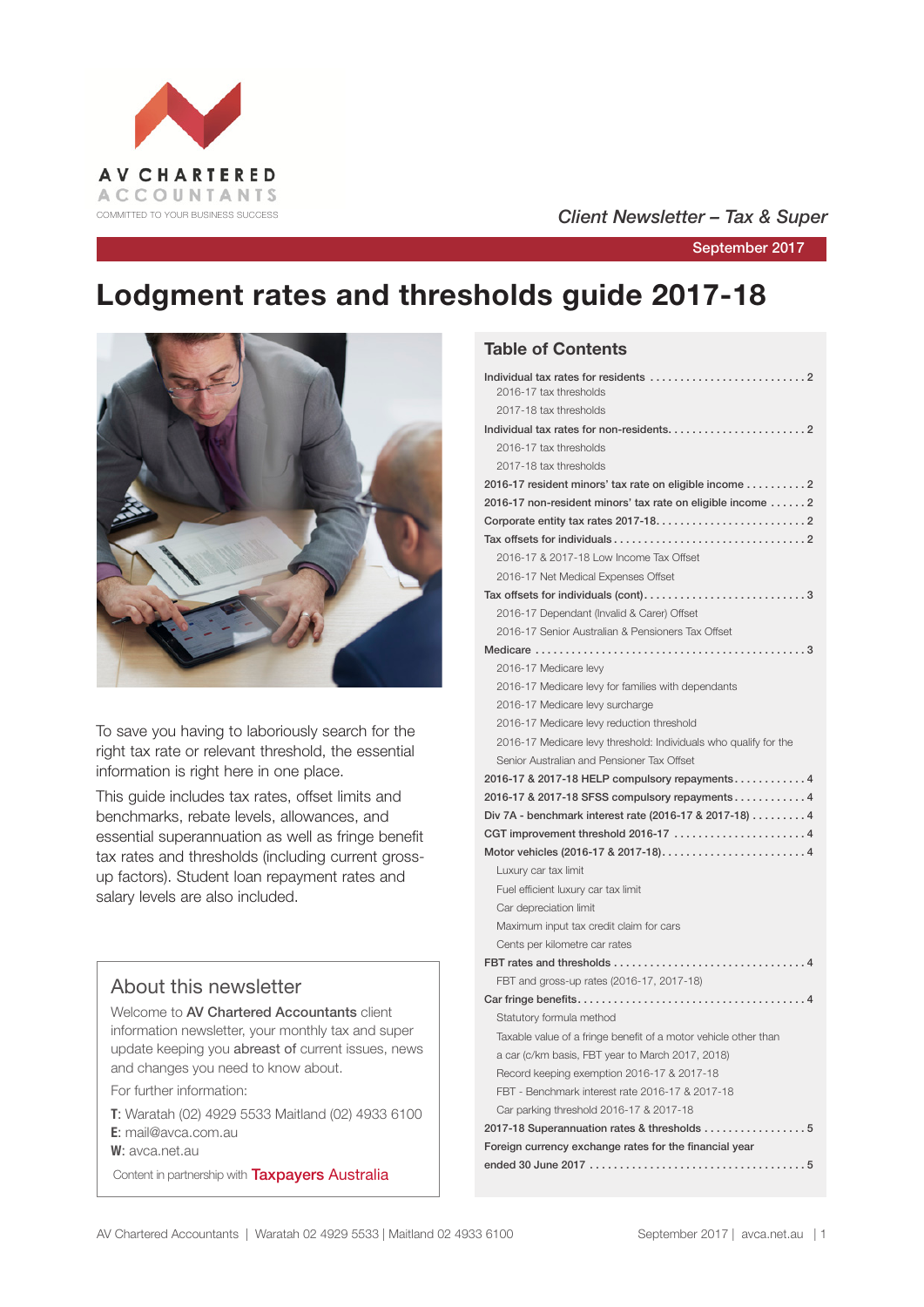

## COMMITTED TO YOUR BUSINESS SUCCESS **COMMITTED TO YOUR BUSINESS SUCCESS**

September 2017

# **Lodgment rates and thresholds guide 2017-18**



To save you having to laboriously search for the right tax rate or relevant threshold, the essential information is right here in one place.

This guide includes tax rates, offset limits and benchmarks, rebate levels, allowances, and essential superannuation as well as fringe benefit tax rates and thresholds (including current grossup factors). Student loan repayment rates and salary levels are also included.

## About this newsletter

Welcome to AV Chartered Accountants client information newsletter, your monthly tax and super update keeping you abreast of current issues, news and changes you need to know about.

For further information:

**T**: Waratah (02) 4929 5533 Maitland (02) 4933 6100 **E**: mail@avca.com.au

**W**: avca.net.au

Content in partnership with **Taxpayers Australia** 

### **Table of Contents**

| 2016-17 tax thresholds<br>2017-18 tax thresholds                 |
|------------------------------------------------------------------|
|                                                                  |
|                                                                  |
| 2016-17 tax thresholds                                           |
| 2017-18 tax thresholds                                           |
| 2016-17 resident minors' tax rate on eligible income 2           |
| 2016-17 non-resident minors' tax rate on eligible income  2      |
|                                                                  |
|                                                                  |
| 2016-17 & 2017-18 Low Income Tax Offset                          |
| 2016-17 Net Medical Expenses Offset                              |
| Tax offsets for individuals (cont)3                              |
| 2016-17 Dependant (Invalid & Carer) Offset                       |
| 2016-17 Senior Australian & Pensioners Tax Offset                |
|                                                                  |
| 2016-17 Medicare levy                                            |
| 2016-17 Medicare levy for families with dependants               |
| 2016-17 Medicare levy surcharge                                  |
| 2016-17 Medicare levy reduction threshold                        |
| 2016-17 Medicare levy threshold: Individuals who qualify for the |
| Senior Australian and Pensioner Tax Offset                       |
| 2016-17 & 2017-18 HELP compulsory repayments 4                   |
| 2016-17 & 2017-18 SFSS compulsory repayments 4                   |
|                                                                  |
| Div 7A - benchmark interest rate (2016-17 & 2017-18) 4           |
| CGT improvement threshold 2016-17 4                              |
|                                                                  |
| Luxury car tax limit                                             |
| Fuel efficient luxury car tax limit                              |
| Car depreciation limit                                           |
| Maximum input tax credit claim for cars                          |
| Cents per kilometre car rates                                    |
|                                                                  |
| FBT and gross-up rates (2016-17, 2017-18)                        |
|                                                                  |
| Statutory formula method                                         |
| Taxable value of a fringe benefit of a motor vehicle other than  |
| a car (c/km basis, FBT year to March 2017, 2018)                 |
| Record keeping exemption 2016-17 & 2017-18                       |
| FBT - Benchmark interest rate 2016-17 & 2017-18                  |
| Car parking threshold 2016-17 & 2017-18                          |
| 2017-18 Superannuation rates & thresholds 5                      |
| Foreign currency exchange rates for the financial year           |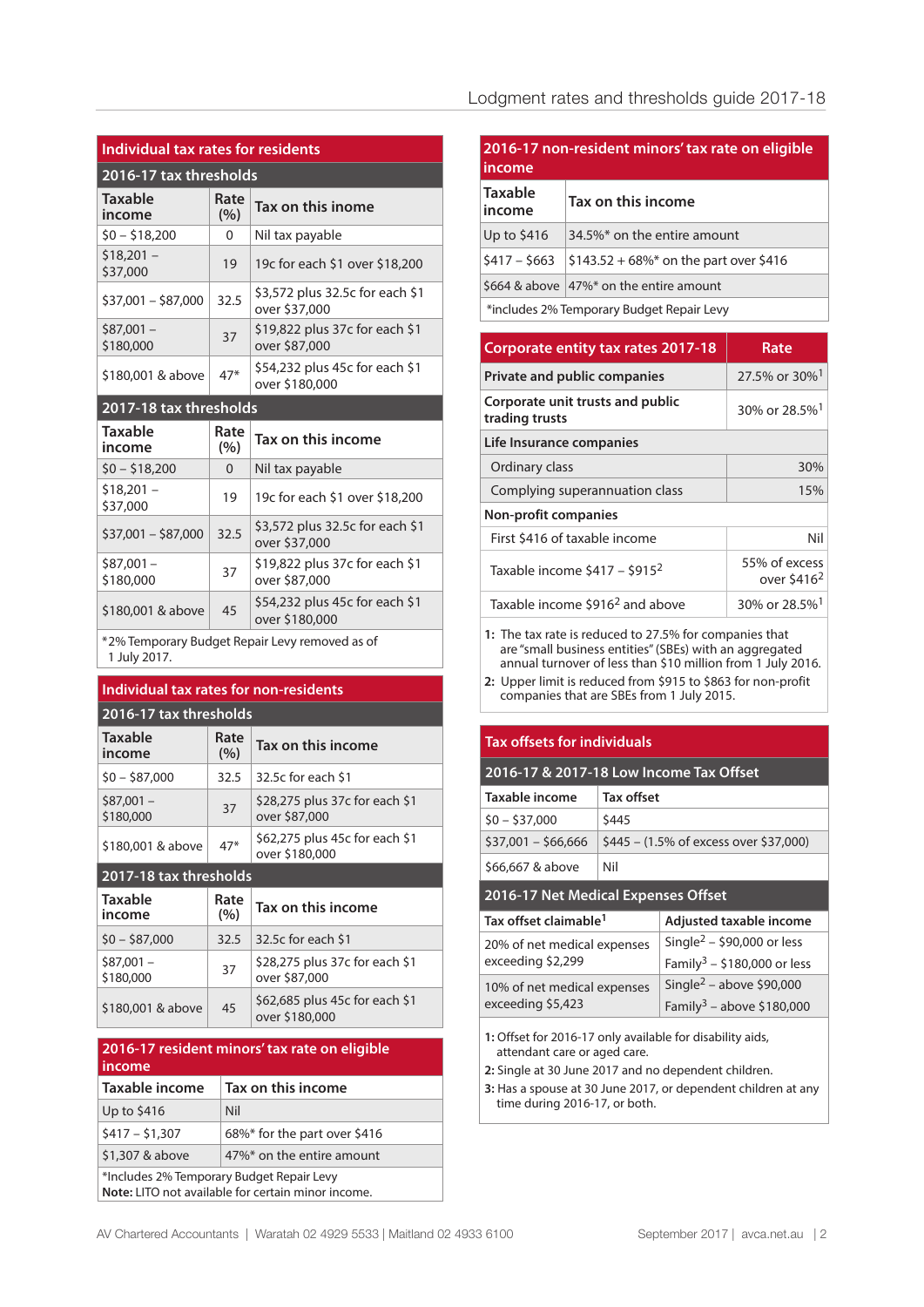## **Individual tax rates for residents**

| 2016-17 tax thresholds   |             |                                                  |  |
|--------------------------|-------------|--------------------------------------------------|--|
| <b>Taxable</b><br>income | Rate<br>(%) | Tax on this inome                                |  |
| $$0 - $18,200$           | 0           | Nil tax payable                                  |  |
| $$18,201 -$<br>\$37,000  | 19          | 19c for each \$1 over \$18,200                   |  |
| $$37,001 - $87,000$      | 32.5        | \$3,572 plus 32.5c for each \$1<br>over \$37,000 |  |
| $$87,001 -$<br>\$180,000 | 37          | \$19,822 plus 37c for each \$1<br>over \$87,000  |  |
| \$180,001 & above        | $47*$       | \$54,232 plus 45c for each \$1<br>over \$180,000 |  |

#### **2017-18 tax thresholds**

| Taxable<br>income       | Rate<br>(%) | Tax on this income                               |
|-------------------------|-------------|--------------------------------------------------|
| $$0 - $18,200$          | 0           | Nil tax payable                                  |
| $$18,201 -$<br>\$37,000 | 19          | 19c for each \$1 over \$18,200                   |
| $$37,001 - $87,000$     | 32.5        | \$3,572 plus 32.5c for each \$1<br>over \$37,000 |
| $$87,001-$<br>\$180,000 | 37          | \$19,822 plus 37c for each \$1<br>over \$87,000  |
| \$180,001 & above       | 45          | \$54,232 plus 45c for each \$1<br>over \$180,000 |

\*2% Temporary Budget Repair Levy removed as of 1 July 2017.

## **Individual tax rates for non-residents**

### **2016-17 tax thresholds**

| <b>Taxable</b><br>income | Rate<br>(9/0) | Tax on this income                               |
|--------------------------|---------------|--------------------------------------------------|
| $$0 - $87,000$           | 32.5          | 32.5c for each \$1                               |
| $$87,001 -$<br>\$180,000 | 37            | \$28,275 plus 37c for each \$1<br>over \$87,000  |
| \$180,001 & above        | $47*$         | \$62,275 plus 45c for each \$1<br>over \$180,000 |

#### **2017-18 tax thresholds**

| <b>Taxable</b><br>income | Rate<br>(%) | Tax on this income                               |
|--------------------------|-------------|--------------------------------------------------|
| $$0 - $87,000$           | 32.5        | 32.5c for each \$1                               |
| $$87,001 -$<br>\$180,000 | 37          | \$28,275 plus 37c for each \$1<br>over \$87,000  |
| \$180,001 & above        | 45          | \$62,685 plus 45c for each \$1<br>over \$180,000 |

#### **2016-17 resident minors' tax rate on eligible income**

| Taxable income  | Tax on this income           |
|-----------------|------------------------------|
| Up to $$416$    | Nil                          |
| $$417 - $1,307$ | 68%* for the part over \$416 |
| \$1,307 & above | 47%* on the entire amount    |
|                 | $\mathbf{x}$ ii $\mathbf{a}$ |

\*Includes 2% Temporary Budget Repair Levy **Note:** LITO not available for certain minor income.

## **2016-17 non-resident minors' tax rate on eligible income Taxable income Tax on this income** Up to  $$416$  34.5%\* on the entire amount  $$417 - $663$   $$143.52 + 68\%$  on the part over \$416 \$664 & above  $47\%$ \* on the entire amount \*includes 2% Temporary Budget Repair Levy

| <b>Corporate entity tax rates 2017-18</b>          | Rate                          |  |  |  |
|----------------------------------------------------|-------------------------------|--|--|--|
| <b>Private and public companies</b>                | 27.5% or 30% <sup>1</sup>     |  |  |  |
| Corporate unit trusts and public<br>trading trusts | 30% or 28.5% <sup>1</sup>     |  |  |  |
| Life Insurance companies                           |                               |  |  |  |
| Ordinary class                                     | 30%                           |  |  |  |
| Complying superannuation class                     | 15%                           |  |  |  |
| <b>Non-profit companies</b>                        |                               |  |  |  |
| First \$416 of taxable income                      | Nil                           |  |  |  |
| Taxable income $$417 - $915^2$                     | 55% of excess<br>over $$4162$ |  |  |  |
| Taxable income \$916 <sup>2</sup> and above        | 30% or 28.5% <sup>1</sup>     |  |  |  |

**1:** The tax rate is reduced to 27.5% for companies that are "small business entities" (SBEs) with an aggregated annual turnover of less than \$10 million from 1 July 2016.

**2:** Upper limit is reduced from \$915 to \$863 for non-profit companies that are SBEs from 1 July 2015.

#### **Tax offsets for individuals**

| 2016-17 & 2017-18 Low Income Tax Offset |                                                  |  |  |
|-----------------------------------------|--------------------------------------------------|--|--|
| Taxable income                          | Tax offset                                       |  |  |
| $$0 - $37,000$                          | \$445                                            |  |  |
| $$37,001 - $66,666$                     | $$445 - (1.5\% \text{ of excess over } $37,000)$ |  |  |
| \$66,667 & above                        | Nil                                              |  |  |

#### **2016-17 Net Medical Expenses Offset**

| Tax offset claimable <sup>1</sup> | Adjusted taxable income                 |
|-----------------------------------|-----------------------------------------|
| 20% of net medical expenses       | Single <sup>2</sup> – \$90,000 or less  |
| exceeding \$2,299                 | Family <sup>3</sup> – \$180,000 or less |
| 10% of net medical expenses       | Single <sup>2</sup> – above \$90,000    |
| exceeding \$5,423                 | Family <sup>3</sup> – above \$180,000   |

**1:** Offset for 2016-17 only available for disability aids, attendant care or aged care.

**2:** Single at 30 June 2017 and no dependent children.

**3:** Has a spouse at 30 June 2017, or dependent children at any time during 2016-17, or both.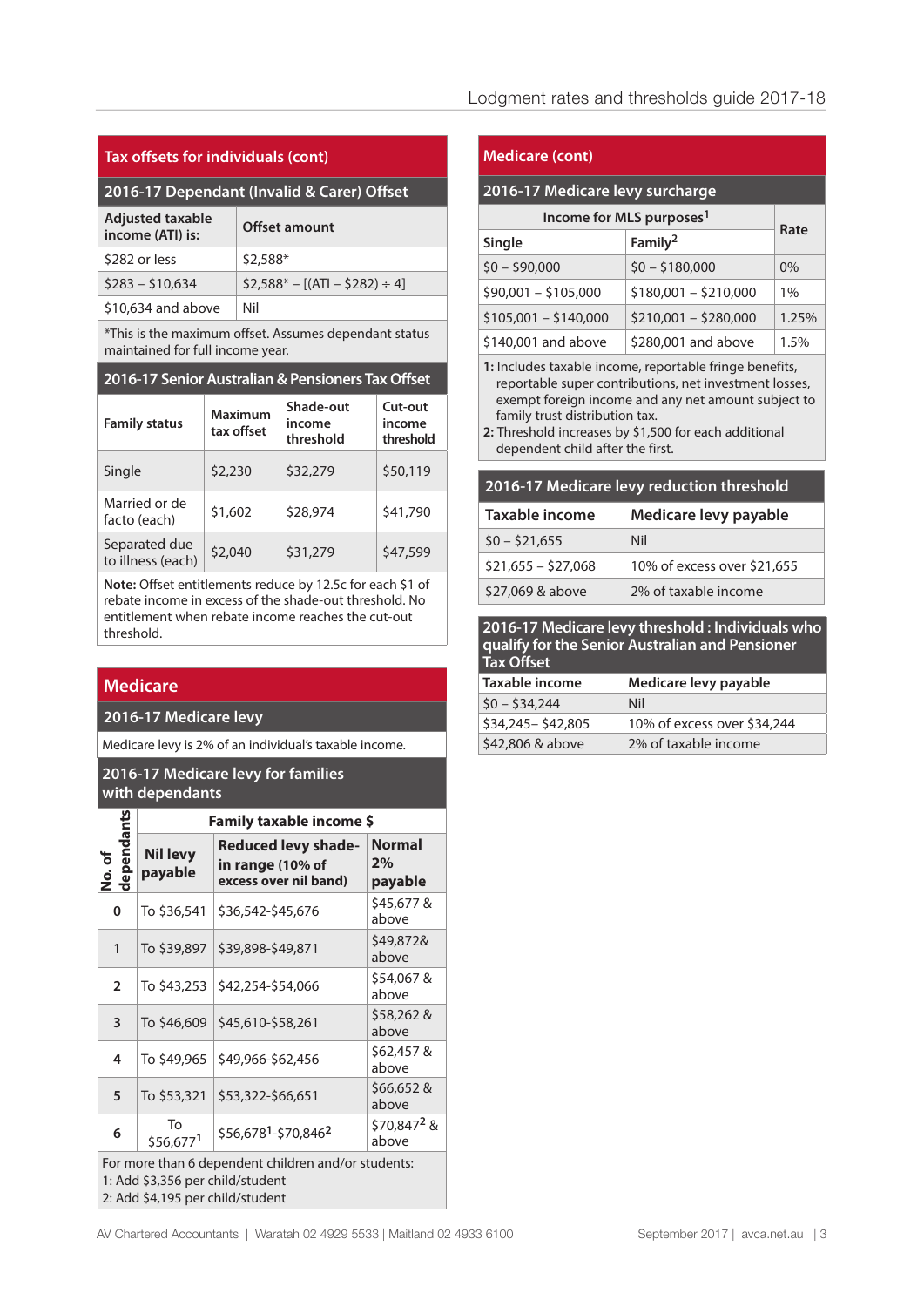| Tax offsets for individuals (cont) |  |  |
|------------------------------------|--|--|
|                                    |  |  |

## **2016-17 Dependant (Invalid & Carer) Offset**

| <b>Adjusted taxable</b><br>income (ATI) is: | <b>Offset amount</b>           |
|---------------------------------------------|--------------------------------|
| \$282 or less                               | $$2.588*$                      |
| $$283 - $10.634$                            | $$2.588* - [(AT] - $282] + 4]$ |
| \$10,634 and above                          | Nil                            |

\*This is the maximum offset. Assumes dependant status maintained for full income year.

#### **2016-17 Senior Australian & Pensioners Tax Offset**

| <b>Family status</b>               | <b>Maximum</b><br>tax offset | Shade-out<br>income<br>threshold | Cut-out<br>income<br>threshold |
|------------------------------------|------------------------------|----------------------------------|--------------------------------|
| Single                             | \$2,230                      | \$32,279                         | \$50,119                       |
| Married or de<br>facto (each)      | \$1,602                      | \$28,974                         | \$41,790                       |
| Separated due<br>to illness (each) | \$2,040                      | \$31,279                         | \$47,599                       |

**Note:** Offset entitlements reduce by 12.5c for each \$1 of rebate income in excess of the shade-out threshold. No entitlement when rebate income reaches the cut-out threshold.

## **Medicare**

#### **2016-17 Medicare levy**

Medicare levy is 2% of an individual's taxable income.

#### **2016-17 Medicare levy for families with dependants**

|                                                                                                                             | Family taxable income \$   |                                                                         |                                  |  |  |
|-----------------------------------------------------------------------------------------------------------------------------|----------------------------|-------------------------------------------------------------------------|----------------------------------|--|--|
| dependants<br>No.of                                                                                                         | <b>Nil levy</b><br>payable | <b>Reduced levy shade-</b><br>in range (10% of<br>excess over nil band) | <b>Normal</b><br>2%<br>payable   |  |  |
| 0                                                                                                                           | To \$36,541                | \$36,542-\$45,676                                                       | \$45,677 &<br>above              |  |  |
| $\mathbf{1}$                                                                                                                | To \$39,897                | \$39,898-\$49,871                                                       | \$49,872&<br>above               |  |  |
| $\overline{2}$                                                                                                              | To \$43,253                | \$42,254-\$54,066                                                       | \$54,067 &<br>above              |  |  |
| 3                                                                                                                           | To \$46,609                | \$45,610-\$58,261                                                       | \$58,262 &<br>above              |  |  |
| 4                                                                                                                           | To \$49,965                | \$49,966-\$62,456                                                       | \$62,457 &<br>above              |  |  |
| 5                                                                                                                           | To \$53,321                | \$53,322-\$66,651                                                       | \$66,652 &<br>above              |  |  |
| 6                                                                                                                           | Tο<br>\$56,6771            | \$56,678 <sup>1</sup> -\$70,846 <sup>2</sup>                            | \$70,847 <sup>2</sup> &<br>above |  |  |
| For more than 6 dependent children and/or students:<br>1: Add \$3,356 per child/student<br>2: Add \$4,195 per child/student |                            |                                                                         |                                  |  |  |

#### **Medicare (cont)**

#### **2016-17 Medicare levy surcharge**

## **Income for MLS purposes1 Single Family2**

| <b>Jundic</b><br>$$0 - $90,000$ |                       | <u>i</u> allilly      |       |
|---------------------------------|-----------------------|-----------------------|-------|
|                                 |                       | $$0 - $180,000$       | $0\%$ |
|                                 | $$90,001 - $105,000$  | $$180,001 - $210,000$ | 1%    |
|                                 | $$105,001 - $140,000$ | $$210,001 - $280,000$ | 1.25% |
|                                 | \$140,001 and above   | \$280,001 and above   | 1.5%  |

**Rate**

**1:** Includes taxable income, reportable fringe benefits, reportable super contributions, net investment losses, exempt foreign income and any net amount subject to family trust distribution tax.

**2:** Threshold increases by \$1,500 for each additional dependent child after the first.

#### **2016-17 Medicare levy reduction threshold**

| Taxable income      | Medicare levy payable       |  |  |
|---------------------|-----------------------------|--|--|
| $$0 - $21.655$      | Nil                         |  |  |
| $$21,655 - $27,068$ | 10% of excess over \$21,655 |  |  |
| \$27,069 & above    | 2% of taxable income        |  |  |

**2016-17 Medicare levy threshold : Individuals who qualify for the Senior Australian and Pensioner Tax Offset** 

| .                   |                             |  |  |
|---------------------|-----------------------------|--|--|
| Taxable income      | Medicare levy payable       |  |  |
| $$0 - $34.244$      | Nil                         |  |  |
| \$34,245 - \$42,805 | 10% of excess over \$34,244 |  |  |
| \$42,806 & above    | 2% of taxable income        |  |  |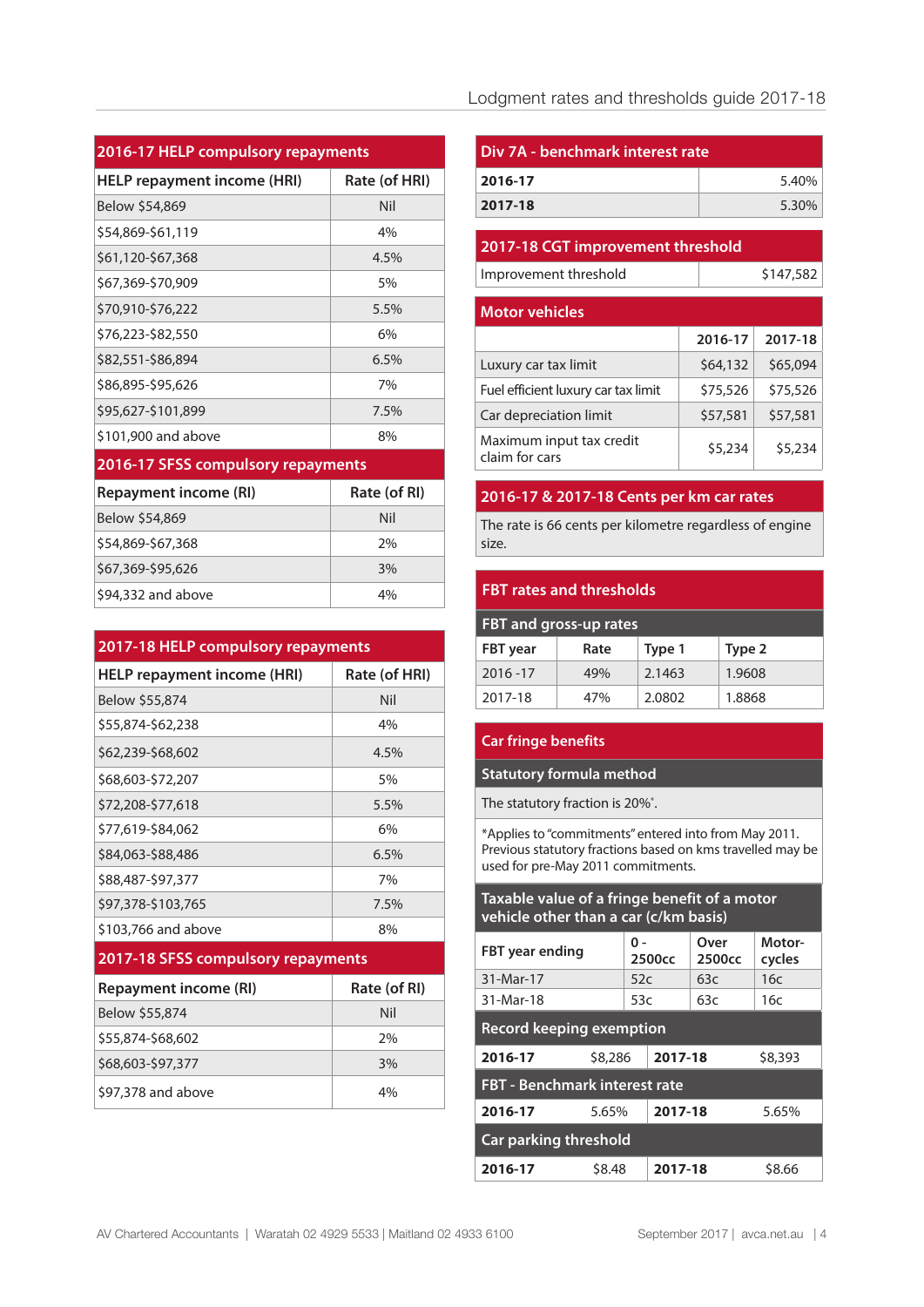## **2016-17 HELP compulsory repayments**

| <b>HELP repayment income (HRI)</b> | Rate (of HRI) |
|------------------------------------|---------------|
| Below \$54,869                     | Nil           |
| \$54,869-\$61,119                  | 4%            |
| \$61,120-\$67,368                  | 4.5%          |
| \$67,369-\$70,909                  | 5%            |
| \$70,910-\$76,222                  | 5.5%          |
| \$76,223-\$82,550                  | 6%            |
| \$82,551-\$86,894                  | 6.5%          |
| \$86,895-\$95,626                  | 7%            |
| \$95,627-\$101,899                 | 7.5%          |
| \$101,900 and above                | 8%            |
| 2016-17 SFSS compulsory repayments |               |
| <b>Repayment income (RI)</b>       | Rate (of RI)  |
| Below \$54,869                     | Nil           |
| \$54,869-\$67,368                  | 2%            |
| \$67,369-\$95,626                  | 3%            |
| \$94,332 and above                 | 4%            |

| 2017-18 HELP compulsory repayments |               |  |  |
|------------------------------------|---------------|--|--|
| <b>HELP repayment income (HRI)</b> | Rate (of HRI) |  |  |
| Below \$55,874                     | Nil           |  |  |
| \$55,874-\$62,238                  | 4%            |  |  |
| \$62,239-\$68,602                  | 4.5%          |  |  |
| \$68,603-\$72,207                  | 5%            |  |  |
| \$72,208-\$77.618                  | 5.5%          |  |  |
| \$77.619-\$84.062                  | 6%            |  |  |
| \$84,063-\$88,486                  | 6.5%          |  |  |
| \$88,487-\$97,377                  | 7%            |  |  |
| \$97,378-\$103,765                 | 7.5%          |  |  |
| \$103,766 and above                | 8%            |  |  |

## **2017-18 SFSS compulsory repayments**

| Repayment income (RI) | Rate (of RI) |  |  |
|-----------------------|--------------|--|--|
| Below \$55,874        | Nil          |  |  |
| \$55,874-\$68,602     | 2%           |  |  |
| \$68,603-\$97,377     | 3%           |  |  |
| \$97,378 and above    | 4%           |  |  |

## Lodgment rates and thresholds guide 2017-18

| l Div 7A - benchmark interest rate |       |  |
|------------------------------------|-------|--|
| 2016-17                            | 5.40% |  |
| 2017-18                            | 5.30% |  |

#### **2017-18 CGT improvement threshold**

Improvement threshold

| <b>Motor vehicles</b>                      |          |          |
|--------------------------------------------|----------|----------|
|                                            | 2016-17  | 2017-18  |
| Luxury car tax limit                       | \$64,132 | \$65,094 |
| Fuel efficient luxury car tax limit        | \$75,526 | \$75,526 |
| Car depreciation limit                     | \$57,581 | \$57,581 |
| Maximum input tax credit<br>claim for cars | \$5,234  | \$5,234  |

#### **2016-17 & 2017-18 Cents per km car rates**

The rate is 66 cents per kilometre regardless of engine size.

#### **FBT rates and thresholds**

| <b>FBT and gross-up rates</b> |      |        |        |  |
|-------------------------------|------|--------|--------|--|
| <b>FBT</b> year               | Rate | Type 1 | Type 2 |  |
| $2016 - 17$                   | 49%  | 2.1463 | 1.9608 |  |
| 2017-18                       | 47%  | 2.0802 | 1.8868 |  |

#### **Car fringe benefits**

**Statutory formula method** 

The statutory fraction is 20%\* .

\*Applies to "commitments" entered into from May 2011. Previous statutory fractions based on kms travelled may be used for pre-May 2011 commitments.

| Taxable value of a fringe benefit of a motor<br>vehicle other than a car (c/km basis) |                   |                    |                            |                  |  |
|---------------------------------------------------------------------------------------|-------------------|--------------------|----------------------------|------------------|--|
| <b>FBT</b> year ending                                                                | $0 -$             | 2500 <sub>cc</sub> | Over<br>2500 <sub>cc</sub> | Motor-<br>cycles |  |
| 31-Mar-17                                                                             | 52c               | 63c                |                            | 16c              |  |
| 31-Mar-18                                                                             | 53c               |                    | 63c                        | 16c              |  |
| <b>Record keeping exemption</b>                                                       |                   |                    |                            |                  |  |
| \$8,286<br>2016-17                                                                    |                   | 2017-18            |                            | \$8,393          |  |
| <b>FBT - Benchmark interest rate</b>                                                  |                   |                    |                            |                  |  |
| 2017-18<br>2016-17<br>5.65%                                                           |                   |                    | 5.65%                      |                  |  |
| Car parking threshold                                                                 |                   |                    |                            |                  |  |
| 2016-17                                                                               | \$8.48<br>2017-18 |                    |                            | \$8.66           |  |